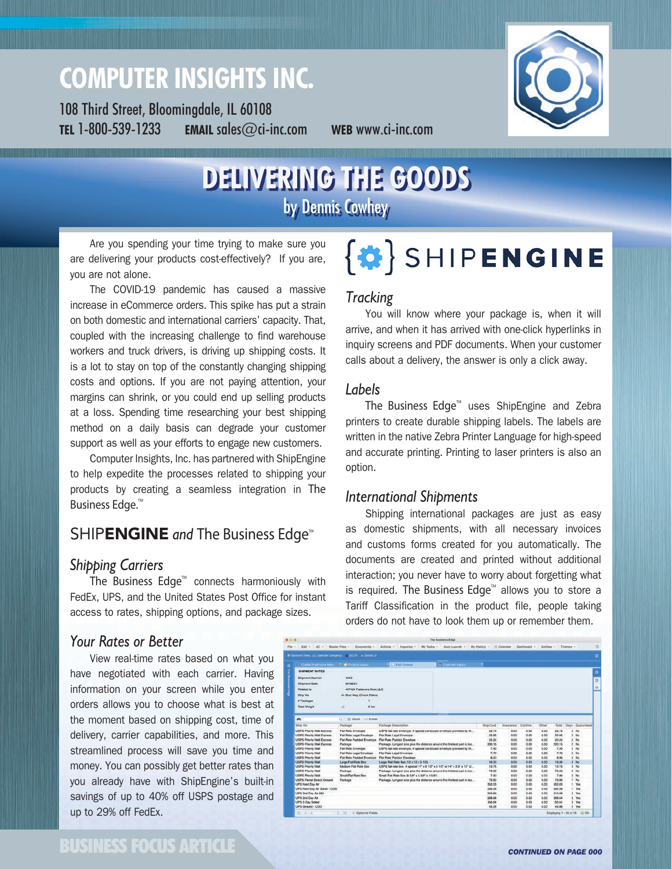# **COMPUTER INSIGHTS INC.**

108 Third Street, Bloomingdale, IL 60108 **TEL** 1-800-539-1233 **EMAIL** sales@ci-inc.com **WEB** www.ci-inc.com



# **DELIVERING THE GOODS** by Dennis Cowhey

Are you spending your time trying to make sure you are delivering your products cost-effectively? If you are, you are not alone.

The COVID-19 pandemic has caused a massive increase in eCommerce orders. This spike has put a strain on both domestic and international carriers' capacity. That, coupled with the increasing challenge to find warehouse workers and truck drivers, is driving up shipping costs. It is a lot to stay on top of the constantly changing shipping costs and options. If you are not paying attention, your margins can shrink, or you could end up selling products at a loss. Spending time researching your best shipping method on a daily basis can degrade your customer support as well as your efforts to engage new customers.

Computer Insights, Inc. has partnered with ShipEngine to help expedite the processes related to shipping your products by creating a seamless integration in The Business Edge.<sup>™</sup>

## SHIP**ENGINE** and The Business Edge<sup>™</sup>

#### *Shipping Carriers*

The Business Edge<sup> $M$ </sup> connects harmoniously with FedEx, UPS, and the United States Post Office for instant access to rates, shipping options, and package sizes.

### *Your Rates or Better*

View real-time rates based on what you have negotiated with each carrier. Having information on your screen while you enter orders allows you to choose what is best at the moment based on shipping cost, time of delivery, carrier capabilities, and more. This streamlined process will save you time and money. You can possibly get better rates than you already have with ShipEngine's built-in savings of up to 40% off USPS postage and up to 29% off FedEx.

# $\{\clubsuit\}$  SHIPENGINE

#### *Tracking*

You will know where your package is, when it will arrive, and when it has arrived with one-click hyperlinks in inquiry screens and PDF documents. When your customer calls about a delivery, the answer is only a click away.

#### *Labels*

The Business Edge<sup> $M$ </sup> uses ShipEngine and Zebra printers to create durable shipping labels. The labels are written in the native Zebra Printer Language for high-speed and accurate printing. Printing to laser printers is also an option.

#### *International Shipments*

Shipping international packages are just as easy as domestic shipments, with all necessary invoices and customs forms created for you automatically. The documents are created and printed without additional interaction; you never have to worry about forgetting what is required. The Business Edge<sup> $M$ </sup> allows you to store a Tariff Classification in the product file, people taking orders do not have to look them up or remember them.

|                                             |                                                    | <b>L. EAE Orders</b><br><b>2</b> Curricher Inquiry                       |                  |              |              |              |                 |          |                    |
|---------------------------------------------|----------------------------------------------------|--------------------------------------------------------------------------|------------------|--------------|--------------|--------------|-----------------|----------|--------------------|
| SHPMENT PATES                               |                                                    |                                                                          |                  |              |              |              |                 |          |                    |
| <b>Shipment Number</b>                      | 1045                                               |                                                                          |                  |              |              |              |                 |          |                    |
| <b>Shipment Date</b>                        | 08-08-21                                           |                                                                          |                  |              |              |              |                 |          |                    |
| <b>Flashad</b> to                           | 407424 Fasteners Now, LLC                          |                                                                          |                  |              |              |              |                 |          |                    |
|                                             |                                                    |                                                                          |                  |              |              |              |                 |          |                    |
| Ship Via                                    | <b>Lit Best Way (Check Rates)</b>                  |                                                                          |                  |              |              |              |                 |          |                    |
| # Packages                                  |                                                    |                                                                          |                  |              |              |              |                 |          |                    |
| <b>Total Weight</b>                         | œ<br>$Q$ Erg                                       |                                                                          |                  |              |              |              |                 |          |                    |
|                                             |                                                    |                                                                          |                  |              |              |              |                 |          |                    |
| ٠                                           | <b><i>W</i></b> Excel <b>EX E-mail</b><br>$\alpha$ |                                                                          |                  |              |              |              |                 |          |                    |
| Ship Via                                    | Package                                            | Package Description                                                      | <b>Ship Cost</b> | Insurance    | Continent    | Other        | Total           |          | Days Guaranteed    |
| USPS Priority Mail Express                  | Fiat Rate Envelope                                 | USPS flat rate envelope. A special cardboard envelope provided by th     | 22.75            | 0.00         | 0.00         | 0.00         | 22.75           | 2: No    |                    |
| <b>USPS Priority Mail Express</b>           | Fiat Rate Legal Envelope                           | Flat Rate Legal Envelope                                                 | 22.95            | 0.00         | 0.001        | 0.00         | 22.95           |          | 2.16               |
| USPS Priority Mail Express                  | Flat Rate Padded Envelope                          | Flat Rate Pacided Envelope                                               | 23.25            | 0.00         | 0.00         | 0.00         | 23.25           | 2.340    |                    |
| USPS Priority Mail Express                  | Package                                            | Package. Longest side plus the distance around the thickest part is les  | 220.15           | 0.00         | 0.00         | 0.00         | 220.15          | 2.390    |                    |
| USPS Priority Mail                          | Flat Rate Envelope                                 | USPS flat rate envelope. A special cardboard envelope provided by th     | 7.40             | 0.00         | 0.001        | 0.00         | 7.40            | $2 - No$ |                    |
| <b>USPS Priority Mail</b>                   | Flat Rate Legal Envelope                           | Flat Rate Legal Envelope                                                 | 2,70             | 0.00         | 0.00         | 0.05         | 7.70            | $3$ No   |                    |
| USPS Priority Mail                          | Fiat Rate Packled Envelope                         | Flat Rate Pacided Envelope                                               | 8.00             | 0.00         | 0.00         | 0.00         | 8.00            | $3 - No$ |                    |
| <b>LISPS Priority Mail</b>                  | Large Flat Rate Box                                | Large Flat Rate Box (12 x 12 x 5 1/2)                                    | 19.30            | 0.00         | 0.00         | 0.00         | 19.50           |          | $3 - Nn$           |
| USPS Priority Mail                          | Medium Flat Rate Box                               | USPS hat rate box. A special 11" x 8 1/2" x 5 1/2" or 14" x 3.5" x 12" U | 13.75            | 0.00         | 0.001        | 0.00         | 13.75           |          | $3 - Nb$           |
| <b>USPS Priority Mail</b>                   | Package                                            | Package. Longest side plus the distance around the thickest part is les  | 75.05            | 0.00         | 0.00         | 0.00         | 75.05           |          | $3$ No             |
| <b>USPS Priority Mail</b>                   | Small Flat Rate Box                                | Small Plat Rute Box 46 S/6" x 5 S/6" x 1 S/6")                           | 7.90             | 0.00         | 0.001        | 0.00         | 7.90            |          | $3 - No$           |
| <b>USPS Parcel Select Ground</b>            | Package                                            | Package. Longest side plus the distance around the thickest part is les  | 73.80            | 0.00         | 0.00         | 0.00         | 73.60           | y        | No                 |
| UPS Next Day Air                            |                                                    |                                                                          | 562.03           | 0.00         | 0.00         | 0.00         | 352.03          |          | Yes                |
| UPS Next Day Air Saver - COD                |                                                    |                                                                          | 335.59           | 0.00         | 0.00         | 0.00         | 335,59          |          | Yes                |
| UPS 2nd Day Air AM                          |                                                    |                                                                          | 310.65           | 0.00         | 0.00         | 0.00         | 310.69          |          | 2.996              |
| UPS 2nd Day Air                             |                                                    |                                                                          | 268.54           | 0.00         | 0.00         | 0.00         | 268.64          |          | $2.$ Yes           |
| <b>UPS 3 Day Select</b><br>UPS Ground - COO |                                                    |                                                                          | 150.64<br>45.08  | 0.00<br>0.00 | 0.00<br>0.00 | 0.00<br>0.00 | 150.84<br>45.08 |          | $2$ Yes<br>$4$ Yes |

## BUSINESS FOCUS ARTICLE *CONTINUED ON PAGE <sup>000</sup>*